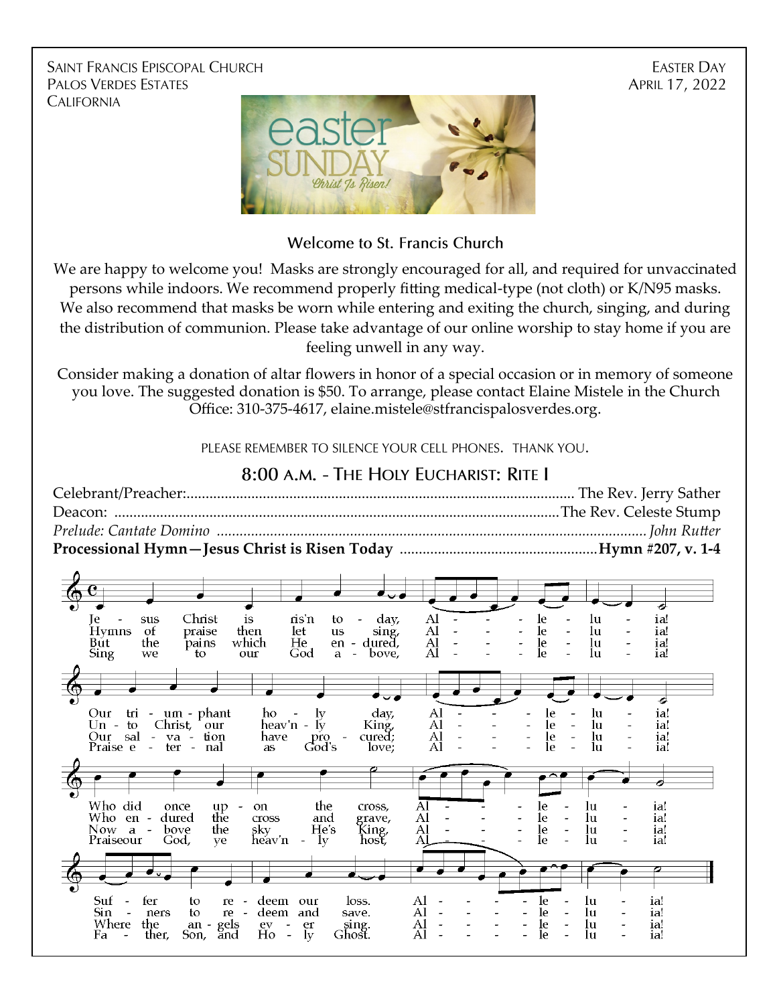**SAINT FRANCIS EPISCOPAL CHURCH** PALOS VERDES ESTATES **CALIFORNIA** 



**Welcome to St. Francis Church** 

We are happy to welcome you! Masks are strongly encouraged for all, and required for unvaccinated persons while indoors. We recommend properly fitting medical-type (not cloth) or K/N95 masks. We also recommend that masks be worn while entering and exiting the church, singing, and during the distribution of communion. Please take advantage of our online worship to stay home if you are feeling unwell in any way.

Consider making a donation of altar flowers in honor of a special occasion or in memory of someone you love. The suggested donation is \$50. To arrange, please contact Elaine Mistele in the Church Office: 310-375-4617, elaine.mistele@stfrancispalosverdes.org.

PLEASE REMEMBER TO SILENCE YOUR CELL PHONES. THANK YOU.



## 8:00 A.M. - THE HOLY EUCHARIST: RITE I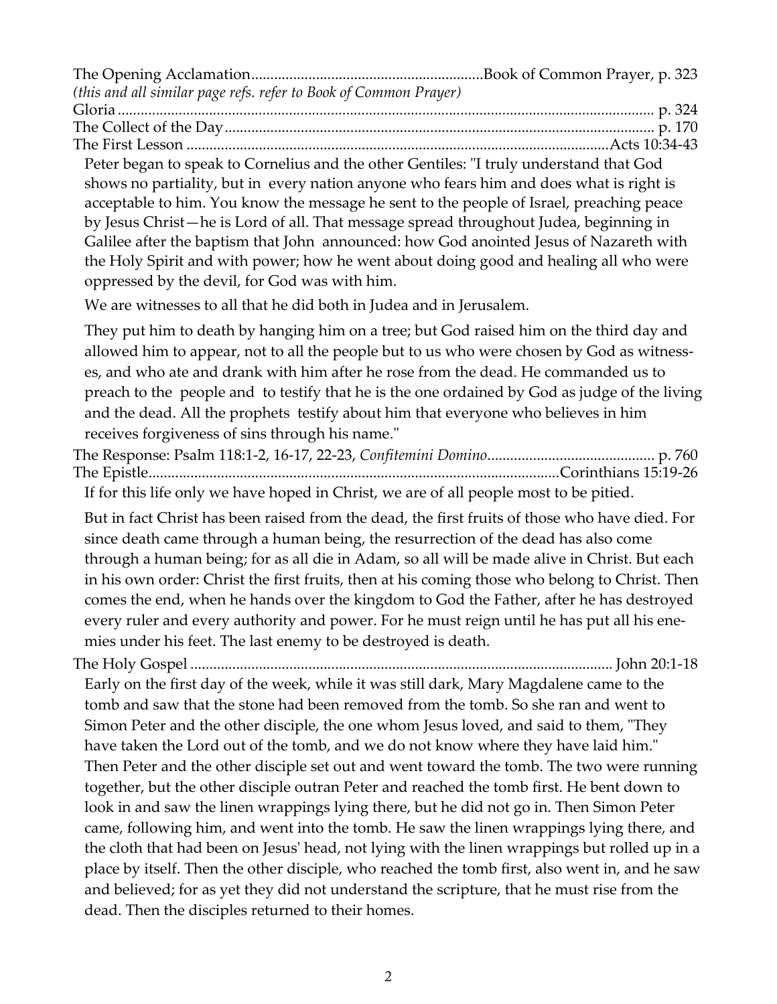The Opening Acclamation.............................................................Book of Common Prayer, p. 323 *(this and all similar page refs. refer to Book of Common Prayer)* Gloria *.............................................................................................................................................* p. 324 The Collect of the Day................................................................................................................. p. 170 The First Lesson ...............................................................................................................Acts 10:34-43 Peter began to speak to Cornelius and the other Gentiles: "I truly understand that God shows no partiality, but in every nation anyone who fears him and does what is right is acceptable to him. You know the message he sent to the people of Israel, preaching peace by Jesus Christ—he is Lord of all. That message spread throughout Judea, beginning in Galilee after the baptism that John announced: how God anointed Jesus of Nazareth with the Holy Spirit and with power; how he went about doing good and healing all who were oppressed by the devil, for God was with him.

We are witnesses to all that he did both in Judea and in Jerusalem.

They put him to death by hanging him on a tree; but God raised him on the third day and allowed him to appear, not to all the people but to us who were chosen by God as witnesses, and who ate and drank with him after he rose from the dead. He commanded us to preach to the people and to testify that he is the one ordained by God as judge of the living and the dead. All the prophets testify about him that everyone who believes in him receives forgiveness of sins through his name."

The Response: Psalm 118:1-2, 16-17, 22-23, *Confitemini Domino*............................................ p. 760 The Epistle............................................................................................................Corinthians 15:19-26 If for this life only we have hoped in Christ, we are of all people most to be pitied.

But in fact Christ has been raised from the dead, the first fruits of those who have died. For since death came through a human being, the resurrection of the dead has also come through a human being; for as all die in Adam, so all will be made alive in Christ. But each in his own order: Christ the first fruits, then at his coming those who belong to Christ. Then comes the end, when he hands over the kingdom to God the Father, after he has destroyed every ruler and every authority and power. For he must reign until he has put all his enemies under his feet. The last enemy to be destroyed is death.

The Holy Gospel ............................................................................................................... John 20:1-18 Early on the first day of the week, while it was still dark, Mary Magdalene came to the tomb and saw that the stone had been removed from the tomb. So she ran and went to Simon Peter and the other disciple, the one whom Jesus loved, and said to them, "They have taken the Lord out of the tomb, and we do not know where they have laid him." Then Peter and the other disciple set out and went toward the tomb. The two were running together, but the other disciple outran Peter and reached the tomb first. He bent down to look in and saw the linen wrappings lying there, but he did not go in. Then Simon Peter came, following him, and went into the tomb. He saw the linen wrappings lying there, and the cloth that had been on Jesus' head, not lying with the linen wrappings but rolled up in a place by itself. Then the other disciple, who reached the tomb first, also went in, and he saw and believed; for as yet they did not understand the scripture, that he must rise from the dead. Then the disciples returned to their homes.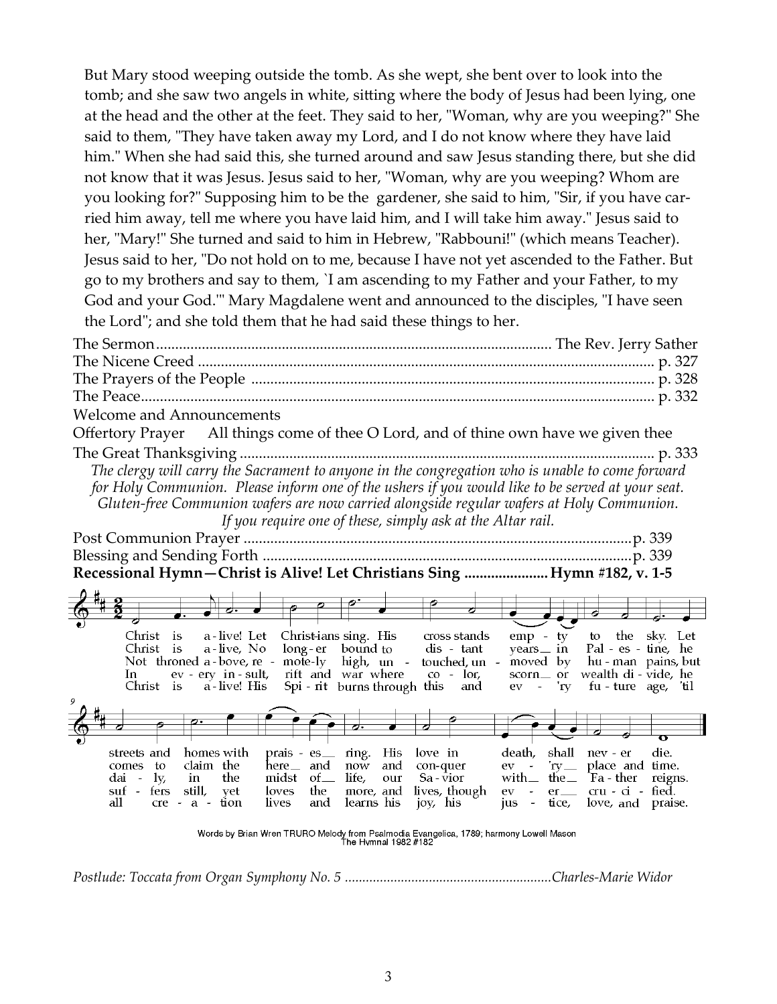But Mary stood weeping outside the tomb. As she wept, she bent over to look into the tomb; and she saw two angels in white, sitting where the body of Jesus had been lying, one at the head and the other at the feet. They said to her, "Woman, why are you weeping?" She said to them, "They have taken away my Lord, and I do not know where they have laid him." When she had said this, she turned around and saw Jesus standing there, but she did not know that it was Jesus. Jesus said to her, "Woman, why are you weeping? Whom are you looking for?" Supposing him to be the gardener, she said to him, "Sir, if you have carried him away, tell me where you have laid him, and I will take him away." Jesus said to her, "Mary!" She turned and said to him in Hebrew, "Rabbouni!" (which means Teacher). Jesus said to her, "Do not hold on to me, because I have not yet ascended to the Father. But go to my brothers and say to them, `I am ascending to my Father and your Father, to my God and your God.'" Mary Magdalene went and announced to the disciples, "I have seen the Lord"; and she told them that he had said these things to her.

The Sermon........................................................................................................ The Rev. Jerry Sather The Nicene Creed ........................................................................................................................ p. 327 The Prayers of the People .......................................................................................................... p. 328 The Peace....................................................................................................................................... p. 332 Welcome and Announcements Offertory Prayer All things come of thee O Lord, and of thine own have we given thee The Great Thanksgiving ............................................................................................................. p. 333 *The clergy will carry the Sacrament to anyone in the congregation who is unable to come forward for Holy Communion. Please inform one of the ushers if you would like to be served at your seat. Gluten-free Communion wafers are now carried alongside regular wafers at Holy Communion. If you require one of these, simply ask at the Altar rail.* Post Communion Prayer ......................................................................................................p. 339 Blessing and Sending Forth .................................................................................................p. 339 **Recessional Hymn—Christ is Alive! Let Christians Sing ...................... Hymn #182, v. 1-5** Christ is a-live! Let Christ-ians sing. His cross stands  $emp - ty$ the  $\mathbf{t}$ sky. Let Christ is a-live, No long-er bound to dis - tant years\_\_ in Pal - es - tine, he Not throned a-bove, re - mote-ly high, un moved by touched, un hu - man pains, but  $\overline{\phantom{a}}$ wealth di - vide, he In ev - ery in - sult, rift and war where  $\cos$  -  $\log$ scorn\_ or fu - ture age, Christ is a-live! His Spi - rit burns through this and ev 'ry ʻtil homes with death, shall streets and  $prais - es$ His nev - er die. ring. love in comes to claim the  $here$ and con-quer place and time. now and  $ev$  $ry_{-}$ the $\text{d}a\text{i} - \text{ly}$ in the  $mids$  of  $\_$ life, our Sa - vior with $\_$ Fa - ther reigns. the suf - fers still, yet loves more, and lives, though ev er.  $\alpha$ u -  $\alpha$  - fied. all  $cre - a$ tion lives and learns his joy, his jus  $\bar{\phantom{a}}$ tice, love, and praise.

Words by Brian Wren TRURO Melody from Psalmodia Evangelica, 1789; harmony Lowell Mason<br>The Hymnal 1982 #182

*Postlude: Toccata from Organ Symphony No. 5 ...........................................................Charles-Marie Widor*